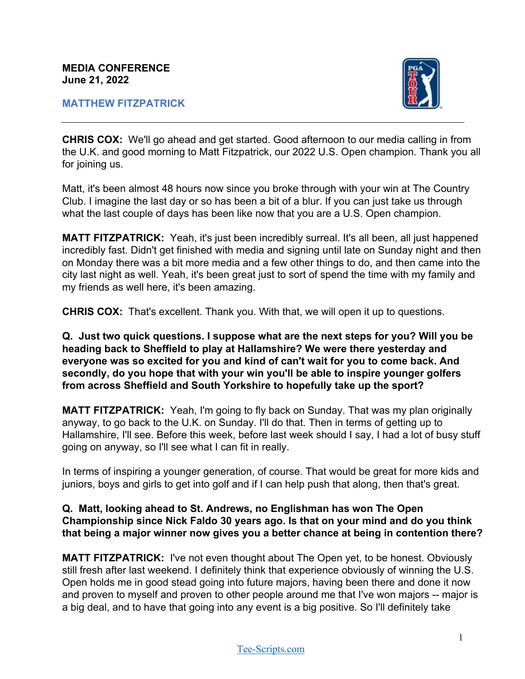#### **MATTHEW FITZPATRICK**



**CHRIS COX:** We'll go ahead and get started. Good afternoon to our media calling in from the U.K. and good morning to Matt Fitzpatrick, our 2022 U.S. Open champion. Thank you all for joining us.

Matt, it's been almost 48 hours now since you broke through with your win at The Country Club. I imagine the last day or so has been a bit of a blur. If you can just take us through what the last couple of days has been like now that you are a U.S. Open champion.

**MATT FITZPATRICK:** Yeah, it's just been incredibly surreal. It's all been, all just happened incredibly fast. Didn't get finished with media and signing until late on Sunday night and then on Monday there was a bit more media and a few other things to do, and then came into the city last night as well. Yeah, it's been great just to sort of spend the time with my family and my friends as well here, it's been amazing.

**CHRIS COX:** That's excellent. Thank you. With that, we will open it up to questions.

**Q. Just two quick questions. I suppose what are the next steps for you? Will you be heading back to Sheffield to play at Hallamshire? We were there yesterday and everyone was so excited for you and kind of can't wait for you to come back. And secondly, do you hope that with your win you'll be able to inspire younger golfers from across Sheffield and South Yorkshire to hopefully take up the sport?** 

**MATT FITZPATRICK:** Yeah, I'm going to fly back on Sunday. That was my plan originally anyway, to go back to the U.K. on Sunday. I'll do that. Then in terms of getting up to Hallamshire, I'll see. Before this week, before last week should I say, I had a lot of busy stuff going on anyway, so I'll see what I can fit in really.

In terms of inspiring a younger generation, of course. That would be great for more kids and juniors, boys and girls to get into golf and if I can help push that along, then that's great.

## **Q. Matt, looking ahead to St. Andrews, no Englishman has won The Open Championship since Nick Faldo 30 years ago. Is that on your mind and do you think that being a major winner now gives you a better chance at being in contention there?**

**MATT FITZPATRICK:** I've not even thought about The Open yet, to be honest. Obviously still fresh after last weekend. I definitely think that experience obviously of winning the U.S. Open holds me in good stead going into future majors, having been there and done it now and proven to myself and proven to other people around me that I've won majors -- major is a big deal, and to have that going into any event is a big positive. So I'll definitely take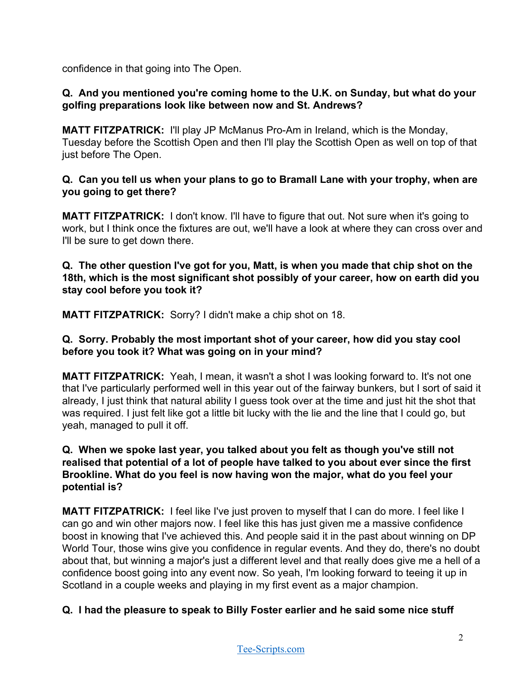confidence in that going into The Open.

# **Q. And you mentioned you're coming home to the U.K. on Sunday, but what do your golfing preparations look like between now and St. Andrews?**

**MATT FITZPATRICK:** I'll play JP McManus Pro-Am in Ireland, which is the Monday, Tuesday before the Scottish Open and then I'll play the Scottish Open as well on top of that just before The Open.

## **Q. Can you tell us when your plans to go to Bramall Lane with your trophy, when are you going to get there?**

**MATT FITZPATRICK:** I don't know. I'll have to figure that out. Not sure when it's going to work, but I think once the fixtures are out, we'll have a look at where they can cross over and I'll be sure to get down there.

### **Q. The other question I've got for you, Matt, is when you made that chip shot on the 18th, which is the most significant shot possibly of your career, how on earth did you stay cool before you took it?**

**MATT FITZPATRICK:** Sorry? I didn't make a chip shot on 18.

### **Q. Sorry. Probably the most important shot of your career, how did you stay cool before you took it? What was going on in your mind?**

**MATT FITZPATRICK:** Yeah, I mean, it wasn't a shot I was looking forward to. It's not one that I've particularly performed well in this year out of the fairway bunkers, but I sort of said it already, I just think that natural ability I guess took over at the time and just hit the shot that was required. I just felt like got a little bit lucky with the lie and the line that I could go, but yeah, managed to pull it off.

## **Q. When we spoke last year, you talked about you felt as though you've still not realised that potential of a lot of people have talked to you about ever since the first Brookline. What do you feel is now having won the major, what do you feel your potential is?**

**MATT FITZPATRICK:** I feel like I've just proven to myself that I can do more. I feel like I can go and win other majors now. I feel like this has just given me a massive confidence boost in knowing that I've achieved this. And people said it in the past about winning on DP World Tour, those wins give you confidence in regular events. And they do, there's no doubt about that, but winning a major's just a different level and that really does give me a hell of a confidence boost going into any event now. So yeah, I'm looking forward to teeing it up in Scotland in a couple weeks and playing in my first event as a major champion.

## **Q. I had the pleasure to speak to Billy Foster earlier and he said some nice stuff**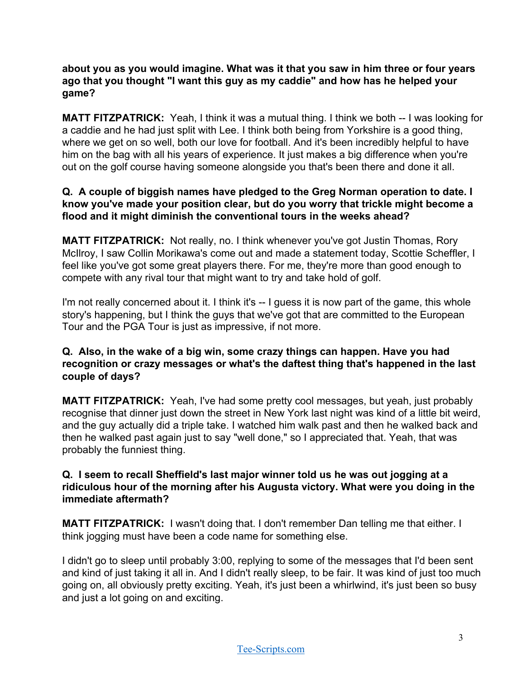**about you as you would imagine. What was it that you saw in him three or four years ago that you thought "I want this guy as my caddie" and how has he helped your game?**

**MATT FITZPATRICK:** Yeah, I think it was a mutual thing. I think we both -- I was looking for a caddie and he had just split with Lee. I think both being from Yorkshire is a good thing, where we get on so well, both our love for football. And it's been incredibly helpful to have him on the bag with all his years of experience. It just makes a big difference when you're out on the golf course having someone alongside you that's been there and done it all.

## **Q. A couple of biggish names have pledged to the Greg Norman operation to date. I know you've made your position clear, but do you worry that trickle might become a flood and it might diminish the conventional tours in the weeks ahead?**

**MATT FITZPATRICK:** Not really, no. I think whenever you've got Justin Thomas, Rory McIlroy, I saw Collin Morikawa's come out and made a statement today, Scottie Scheffler, I feel like you've got some great players there. For me, they're more than good enough to compete with any rival tour that might want to try and take hold of golf.

I'm not really concerned about it. I think it's -- I guess it is now part of the game, this whole story's happening, but I think the guys that we've got that are committed to the European Tour and the PGA Tour is just as impressive, if not more.

# **Q. Also, in the wake of a big win, some crazy things can happen. Have you had recognition or crazy messages or what's the daftest thing that's happened in the last couple of days?**

**MATT FITZPATRICK:** Yeah, I've had some pretty cool messages, but yeah, just probably recognise that dinner just down the street in New York last night was kind of a little bit weird, and the guy actually did a triple take. I watched him walk past and then he walked back and then he walked past again just to say "well done," so I appreciated that. Yeah, that was probably the funniest thing.

## **Q. I seem to recall Sheffield's last major winner told us he was out jogging at a ridiculous hour of the morning after his Augusta victory. What were you doing in the immediate aftermath?**

**MATT FITZPATRICK:** I wasn't doing that. I don't remember Dan telling me that either. I think jogging must have been a code name for something else.

I didn't go to sleep until probably 3:00, replying to some of the messages that I'd been sent and kind of just taking it all in. And I didn't really sleep, to be fair. It was kind of just too much going on, all obviously pretty exciting. Yeah, it's just been a whirlwind, it's just been so busy and just a lot going on and exciting.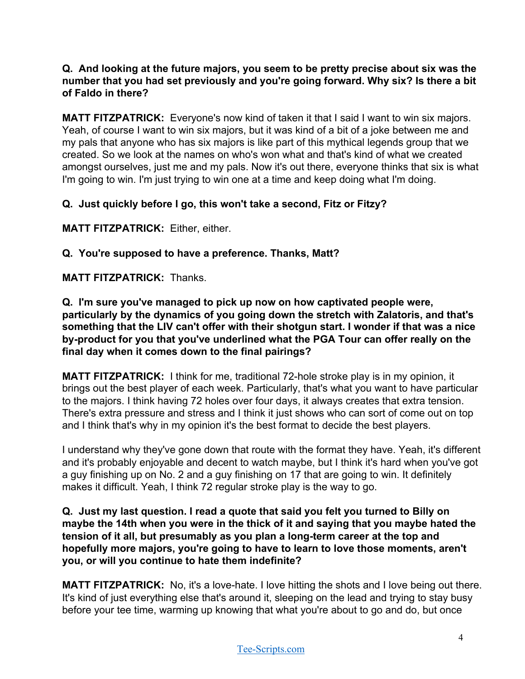## **Q. And looking at the future majors, you seem to be pretty precise about six was the number that you had set previously and you're going forward. Why six? Is there a bit of Faldo in there?**

**MATT FITZPATRICK:** Everyone's now kind of taken it that I said I want to win six majors. Yeah, of course I want to win six majors, but it was kind of a bit of a joke between me and my pals that anyone who has six majors is like part of this mythical legends group that we created. So we look at the names on who's won what and that's kind of what we created amongst ourselves, just me and my pals. Now it's out there, everyone thinks that six is what I'm going to win. I'm just trying to win one at a time and keep doing what I'm doing.

# **Q. Just quickly before I go, this won't take a second, Fitz or Fitzy?**

**MATT FITZPATRICK:** Either, either.

**Q. You're supposed to have a preference. Thanks, Matt?**

**MATT FITZPATRICK:** Thanks.

**Q. I'm sure you've managed to pick up now on how captivated people were, particularly by the dynamics of you going down the stretch with Zalatoris, and that's something that the LIV can't offer with their shotgun start. I wonder if that was a nice by-product for you that you've underlined what the PGA Tour can offer really on the final day when it comes down to the final pairings?** 

**MATT FITZPATRICK:** I think for me, traditional 72-hole stroke play is in my opinion, it brings out the best player of each week. Particularly, that's what you want to have particular to the majors. I think having 72 holes over four days, it always creates that extra tension. There's extra pressure and stress and I think it just shows who can sort of come out on top and I think that's why in my opinion it's the best format to decide the best players.

I understand why they've gone down that route with the format they have. Yeah, it's different and it's probably enjoyable and decent to watch maybe, but I think it's hard when you've got a guy finishing up on No. 2 and a guy finishing on 17 that are going to win. It definitely makes it difficult. Yeah, I think 72 regular stroke play is the way to go.

**Q. Just my last question. I read a quote that said you felt you turned to Billy on maybe the 14th when you were in the thick of it and saying that you maybe hated the tension of it all, but presumably as you plan a long-term career at the top and hopefully more majors, you're going to have to learn to love those moments, aren't you, or will you continue to hate them indefinite?**

**MATT FITZPATRICK:** No, it's a love-hate. I love hitting the shots and I love being out there. It's kind of just everything else that's around it, sleeping on the lead and trying to stay busy before your tee time, warming up knowing that what you're about to go and do, but once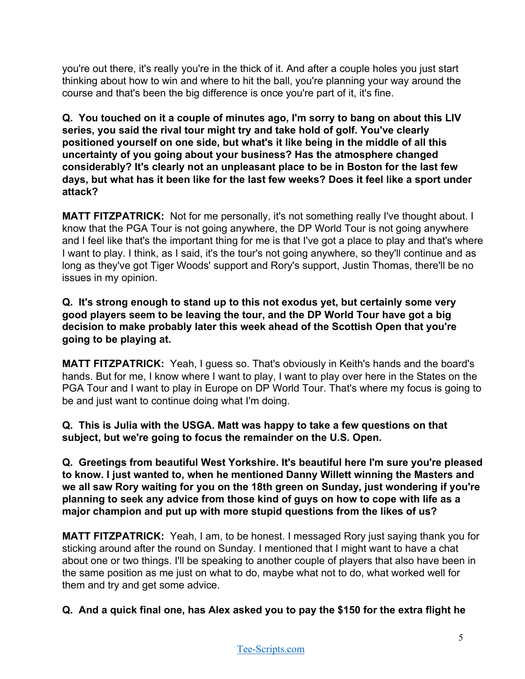you're out there, it's really you're in the thick of it. And after a couple holes you just start thinking about how to win and where to hit the ball, you're planning your way around the course and that's been the big difference is once you're part of it, it's fine.

**Q. You touched on it a couple of minutes ago, I'm sorry to bang on about this LIV series, you said the rival tour might try and take hold of golf. You've clearly positioned yourself on one side, but what's it like being in the middle of all this uncertainty of you going about your business? Has the atmosphere changed considerably? It's clearly not an unpleasant place to be in Boston for the last few days, but what has it been like for the last few weeks? Does it feel like a sport under attack?**

**MATT FITZPATRICK:** Not for me personally, it's not something really I've thought about. I know that the PGA Tour is not going anywhere, the DP World Tour is not going anywhere and I feel like that's the important thing for me is that I've got a place to play and that's where I want to play. I think, as I said, it's the tour's not going anywhere, so they'll continue and as long as they've got Tiger Woods' support and Rory's support, Justin Thomas, there'll be no issues in my opinion.

**Q. It's strong enough to stand up to this not exodus yet, but certainly some very good players seem to be leaving the tour, and the DP World Tour have got a big decision to make probably later this week ahead of the Scottish Open that you're going to be playing at.** 

**MATT FITZPATRICK:** Yeah, I guess so. That's obviously in Keith's hands and the board's hands. But for me, I know where I want to play, I want to play over here in the States on the PGA Tour and I want to play in Europe on DP World Tour. That's where my focus is going to be and just want to continue doing what I'm doing.

**Q. This is Julia with the USGA. Matt was happy to take a few questions on that subject, but we're going to focus the remainder on the U.S. Open.**

**Q. Greetings from beautiful West Yorkshire. It's beautiful here I'm sure you're pleased to know. I just wanted to, when he mentioned Danny Willett winning the Masters and we all saw Rory waiting for you on the 18th green on Sunday, just wondering if you're planning to seek any advice from those kind of guys on how to cope with life as a major champion and put up with more stupid questions from the likes of us?**

**MATT FITZPATRICK:** Yeah, I am, to be honest. I messaged Rory just saying thank you for sticking around after the round on Sunday. I mentioned that I might want to have a chat about one or two things. I'll be speaking to another couple of players that also have been in the same position as me just on what to do, maybe what not to do, what worked well for them and try and get some advice.

**Q. And a quick final one, has Alex asked you to pay the \$150 for the extra flight he**